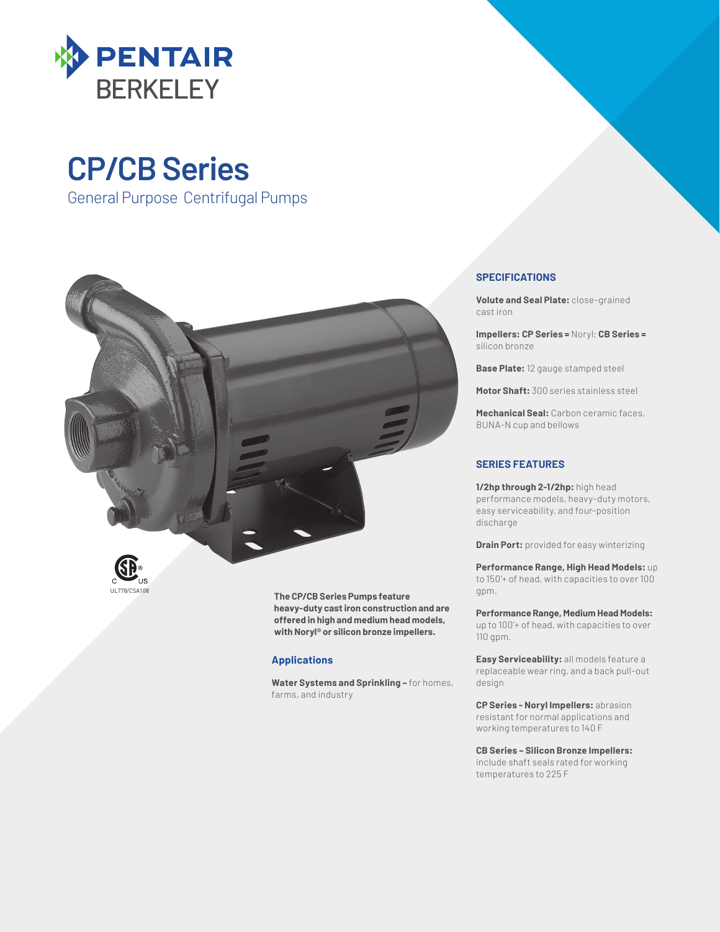

## **CP/CB Series**

General Purpose Centrifugal Pumps



**The CP/CB Series Pumps feature heavy-duty cast iron construction and are offered in high and medium head models, with Noryl® or silicon bronze impellers.**

#### **Applications**

**Water Systems and Sprinkling –** for homes, farms, and industry

#### **SPECIFICATIONS**

**Volute and Seal Plate:** close-grained cast iron

**Impellers: CP Series =** Noryl; **CB Series =**  silicon bronze

**Base Plate:** 12 gauge stamped steel

**Motor Shaft:** 300 series stainless steel

**Mechanical Seal:** Carbon ceramic faces, BUNA-N cup and bellows

#### **SERIES FEATURES**

**1/2hp through 2-1/2hp:** high head performance models, heavy-duty motors, easy serviceability, and four-position discharge

**Drain Port:** provided for easy winterizing

**Performance Range, High Head Models:** up to 150'+ of head, with capacities to over 100 gpm.

**Performance Range, Medium Head Models:** up to 100'+ of head, with capacities to over 110 gpm.

**Easy Serviceability:** all models feature a replaceable wear ring, and a back pull-out design

**CP Series - Noryl Impellers:** abrasion resistant for normal applications and working temperatures to 140 F

**CB Series – Silicon Bronze Impellers:** include shaft seals rated for working temperatures to 225 F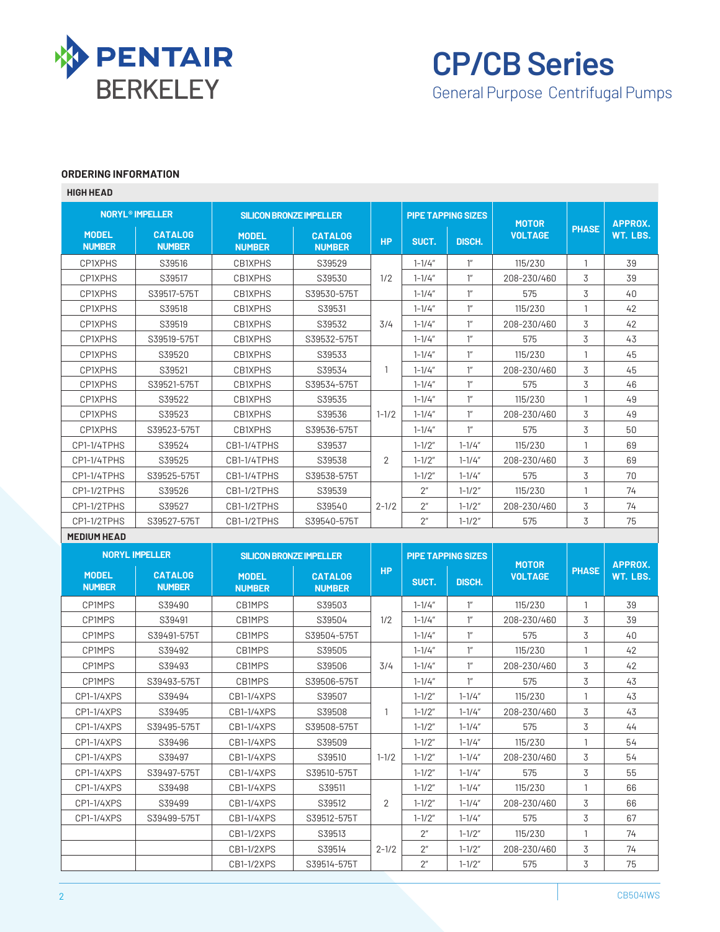

# **CP/CB Series**

### General Purpose Centrifugal Pumps

#### **ORDERING INFORMATION**

| <b>HIGH HEAD</b>                  |                                 |                                |                                 |                           |                          |                           |                                |              |                            |  |
|-----------------------------------|---------------------------------|--------------------------------|---------------------------------|---------------------------|--------------------------|---------------------------|--------------------------------|--------------|----------------------------|--|
| <b>NORYL<sup>®</sup> IMPELLER</b> |                                 | <b>SILICON BRONZE IMPELLER</b> |                                 | <b>PIPE TAPPING SIZES</b> |                          |                           |                                |              |                            |  |
| <b>MODEL</b><br><b>NUMBER</b>     | <b>CATALOG</b><br><b>NUMBER</b> | <b>MODEL</b><br><b>NUMBER</b>  | <b>CATALOG</b><br><b>NUMBER</b> | <b>HP</b>                 | SUCT.                    | DISCH.                    | <b>MOTOR</b><br><b>VOLTAGE</b> | <b>PHASE</b> | <b>APPROX.</b><br>WT. LBS. |  |
| <b>CP1XPHS</b>                    | S39516                          | CB1XPHS                        | S39529                          |                           | $1 - 1/4"$               | $1^{\prime\prime}$        | 115/230                        | $\mathbf{1}$ | 39                         |  |
| CP1XPHS                           | S39517                          | <b>CB1XPHS</b>                 | S39530                          | 1/2                       | $1 - 1/4"$               | $1^{\prime\prime}$        | 208-230/460                    | 3            | 39                         |  |
| CP1XPHS                           | S39517-575T                     | CB1XPHS                        | S39530-575T                     |                           | $1 - 1/4"$               | $1^{\prime\prime}$        | 575                            | 3            | 40                         |  |
| CP1XPHS                           | S39518                          | CB1XPHS                        | S39531                          |                           | $1 - 1/4"$               | $1^{\prime\prime}$        | 115/230                        | $\mathbf{1}$ | 42                         |  |
| CP1XPHS                           | S39519                          | CB1XPHS                        | S39532                          | 3/4                       | $1 - 1/4"$               | 1''                       | 208-230/460                    | 3            | 42                         |  |
| CP1XPHS                           | S39519-575T                     | <b>CB1XPHS</b>                 | S39532-575T                     |                           | $1 - 1/4"$               | 1''                       | 575                            | 3            | 43                         |  |
| CP1XPHS                           | S39520                          | <b>CB1XPHS</b>                 | S39533                          |                           | $1 - 1/4"$               | $1^{\prime\prime}$        | 115/230                        | $\mathbf{1}$ | 45                         |  |
| CP1XPHS                           | S39521                          | <b>CB1XPHS</b>                 | S39534                          | -1                        | $1 - 1/4"$               | $1^{\prime\prime}$        | 208-230/460                    | 3            | 45                         |  |
| CP1XPHS                           | S39521-575T                     | <b>CB1XPHS</b>                 | S39534-575T                     |                           | $1 - 1/4"$               | $1^{\prime\prime}$        | 575                            | 3            | 46                         |  |
| CP1XPHS                           | S39522                          | <b>CB1XPHS</b>                 | S39535                          |                           | $1 - 1/4''$              | $1^{\prime\prime}$        | 115/230                        | 1            | 49                         |  |
| <b>CP1XPHS</b>                    | S39523                          | CB1XPHS                        | S39536                          | $1 - 1/2$                 | $1 - 1/4"$               | $1^{\prime\prime}$        | 208-230/460                    | 3            | 49                         |  |
| CP1XPHS                           | S39523-575T                     | <b>CB1XPHS</b>                 | S39536-575T                     |                           | $1 - 1/4''$              | $1^{\prime\prime}$        | 575                            | 3            | 50                         |  |
| CP1-1/4TPHS                       | S39524                          | CB1-1/4TPHS                    | S39537                          |                           | $1 - 1/2"$               | $1 - 1/4''$               | 115/230                        | $\mathbf{1}$ | 69                         |  |
| CP1-1/4TPHS                       | S39525                          | CB1-1/4TPHS                    | S39538                          | $\overline{2}$            | $1 - 1/2"$               | $1 - 1/4"$                | 208-230/460                    | 3            | 69                         |  |
| CP1-1/4TPHS                       | S39525-575T                     | CB1-1/4TPHS                    | S39538-575T                     |                           | $1 - 1/2"$               | $1 - 1/4"$                | 575                            | 3            | 70                         |  |
| CP1-1/2TPHS                       | S39526                          | CB1-1/2TPHS                    | S39539                          |                           | $2^{\prime\prime}$       | $1 - 1/2"$                | 115/230                        | 1            | 74                         |  |
| CP1-1/2TPHS                       | S39527                          | CB1-1/2TPHS                    | S39540                          | $2 - 1/2$                 | 2 <sup>''</sup>          | $1 - 1/2"$                | 208-230/460                    | 3            | 74                         |  |
|                                   |                                 |                                |                                 |                           |                          |                           |                                |              |                            |  |
| CP1-1/2TPHS                       | S39527-575T                     | CB1-1/2TPHS                    | S39540-575T                     |                           | 2 <sup>n</sup>           | $1 - 1/2"$                | 575                            | 3            | 75                         |  |
| <b>MEDIUM HEAD</b>                |                                 |                                |                                 |                           |                          |                           |                                |              |                            |  |
|                                   | <b>NORYL IMPELLER</b>           | <b>SILICON BRONZE IMPELLER</b> |                                 |                           |                          | <b>PIPE TAPPING SIZES</b> |                                |              |                            |  |
| <b>MODEL</b><br><b>NUMBER</b>     | <b>CATALOG</b><br><b>NUMBER</b> | <b>MODEL</b><br><b>NUMBER</b>  | <b>CATALOG</b><br><b>NUMBER</b> | <b>HP</b>                 | SUCT.                    | DISCH.                    | <b>MOTOR</b><br><b>VOLTAGE</b> | <b>PHASE</b> | APPROX.<br>WT. LBS.        |  |
| CP1MPS                            | S39490                          | CB1MPS                         | S39503                          |                           | $1 - 1/4"$               | $1^{\prime\prime}$        | 115/230                        | $\mathbf{1}$ | 39                         |  |
| CP1MPS                            | S39491                          | CB1MPS                         | S39504                          | 1/2                       | $1 - 1/4''$              | $1^{\prime\prime}$        | 208-230/460                    | 3            | 39                         |  |
| CP1MPS                            | S39491-575T                     | CB1MPS                         | S39504-575T                     |                           | $1 - 1/4"$               | $1^{\prime\prime}$        | 575                            | 3            | 40                         |  |
| <b>CP1MPS</b>                     | S39492                          | CB1MPS                         | S39505                          |                           | $1 - 1/4"$               | $1^{\prime\prime}$        | 115/230                        | $\mathbf{1}$ | 42                         |  |
| <b>CP1MPS</b>                     | S39493                          | CB1MPS                         | S39506                          | 3/4                       | $1 - 1/4"$               | $1^{\prime\prime}$        | 208-230/460                    | 3            | 42                         |  |
| CP1MPS                            | S39493-575T                     | CB1MPS                         | S39506-575T                     |                           | $1 - 1/4"$               | $1^{\prime\prime}$        | 575                            | 3            | 43                         |  |
| CP1-1/4XPS                        | S39494                          | CB1-1/4XPS                     | S39507                          |                           | $1 - 1/2"$               | $1 - 1/4"$                | 115/230                        | 1            | 43                         |  |
|                                   |                                 |                                | S39508                          | $\mathbf{1}$              |                          |                           |                                | 3            |                            |  |
| CP1-1/4XPS<br>CP1-1/4XPS          | S39495<br>S39495-575T           | CB1-1/4XPS<br>CB1-1/4XPS       | S39508-575T                     |                           | $1 - 1/2"$<br>$1 - 1/2"$ | $1 - 1/4''$<br>$1 - 1/4"$ | 208-230/460<br>575             | 3            | 43<br>44                   |  |
| CP1-1/4XPS                        | S39496                          | CB1-1/4XPS                     | S39509                          |                           | $1 - 1/2"$               | $1 - 1/4"$                | 115/230                        | 1            | 54                         |  |
| CP1-1/4XPS                        | S39497                          | CB1-1/4XPS                     | S39510                          | $1 - 1/2$                 | $1 - 1/2"$               | $1 - 1/4"$                | 208-230/460                    | 3            | 54                         |  |
| CP1-1/4XPS                        | S39497-575T                     | CB1-1/4XPS                     | S39510-575T                     |                           | $1 - 1/2"$               | $1 - 1/4"$                | 575                            | 3            | 55                         |  |
| CP1-1/4XPS                        | S39498                          | CB1-1/4XPS                     | S39511                          |                           | $1 - 1/2"$               | $1 - 1/4"$                | 115/230                        | 1            | 66                         |  |
| CP1-1/4XPS                        | S39499                          | CB1-1/4XPS                     | S39512                          | 2                         | $1 - 1/2"$               | $1 - 1/4"$                | 208-230/460                    | 3            | 66                         |  |
| CP1-1/4XPS                        | S39499-575T                     | CB1-1/4XPS                     | S39512-575T                     |                           | $1 - 1/2"$               | $1 - 1/4"$                | 575                            | 3            | 67                         |  |

2-1/2

CB1-1/2XPS | S39514 | 2-1/2 | 2" | 1-1/2" | 208-230/460 | 3 | 74 CB1-1/2XPS S39514-575T 2" 1-1/2" 575 3 75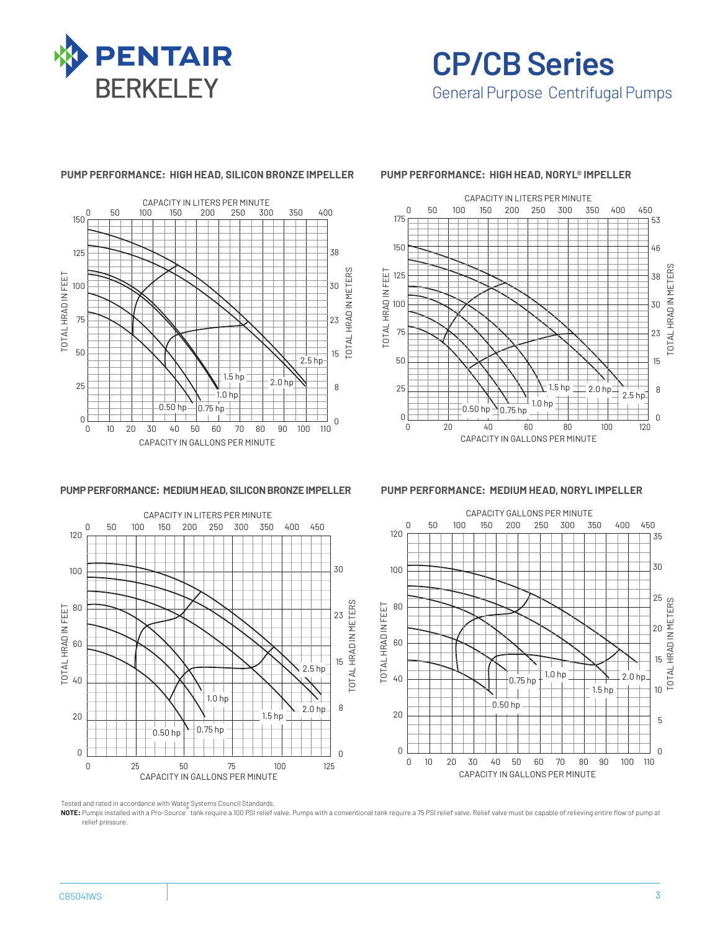

**CP/CB Series** General Purpose Centrifugal Pumps

#### **PUMP PERFORMANCE: HIGH HEAD, SILICON BRONZE IMPELLER PUMP PERFORMANCE: HIGH HEAD, NORYL® IMPELLER**





**PUMP PERFORMANCE: MEDIUM HEAD, SILICON BRONZE IMPELLER PUMP PERFORMANCE: MEDIUM HEAD, NORYL IMPELLER**



CAPACITY GALLONS PER MINUTE 0 50 100 150 200 250 300 350 400 450



Tested and rated in accordance with Water Systems Council Standards.

**NOTE:** Pumps installed with a Pro-Source® tank require a 100 PSI relief valve. Pumps with a conventional tank require a 75 PSI relief valve. Relief valve must be capable of relieving entire flow of pump at relief pressure.